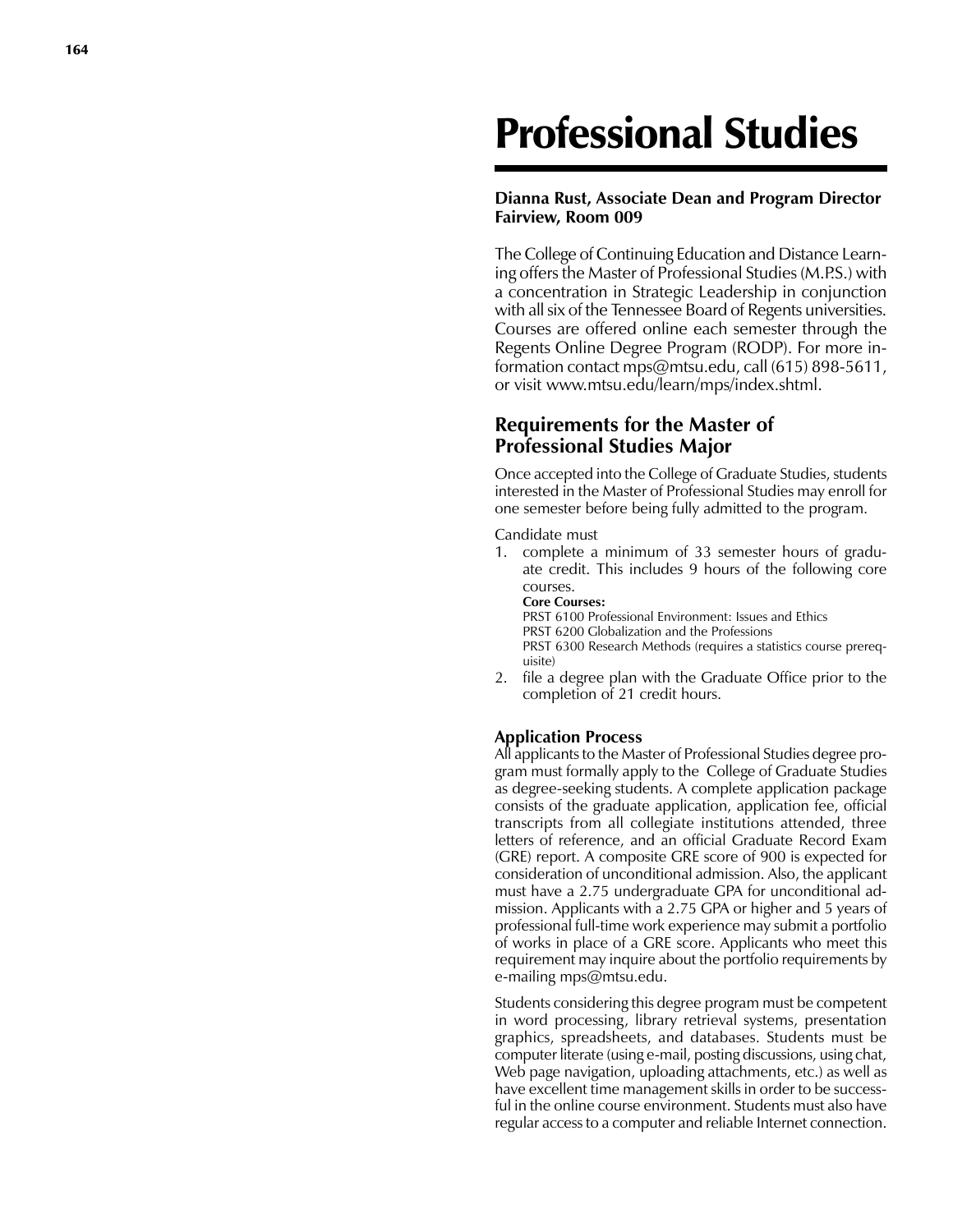# Professional Studies

### **Dianna Rust, Associate Dean and Program Director Fairview, Room 009**

The College of Continuing Education and Distance Learn ing offers the Master of Professional Studies (M.P.S.) with a concentration in Strategic Leadership in conjunction with all six of the Tennessee Board of Regents universities. Courses are offered online each semester through the Regents Online Degree Program (RODP). For more in formation contact mps@mtsu.edu, call (615) 898-5611, or visit www.mtsu.edu/learn/mps/index.shtml.

## **Requirements for the Master of Professional Studies Major**

Once accepted into the College of Graduate Studies, students interested in the Master of Professional Studies may enroll for one semester before being fully admitted to the program.

Candidate must

1. complete a minimum of 33 semester hours of gradu ate credit. This includes 9 hours of the following core courses.

**Core Courses:** PRST 6100 Professional Environment: Issues and Ethics PRST 6200 Globalization and the Professions PRST 6300 Research Methods (requires a statistics course prereq uisite)

2. file a degree plan with the Graduate Office prior to the completion of 21 credit hours.

### **Application Process**

All applicants to the Master of Professional Studies degree pro gram must formally apply to the College of Graduate Studies as degree-seeking students. A complete application package consists of the graduate application, application fee, official transcripts from all collegiate institutions attended, three letters of reference, and an official Graduate Record Exam (GRE) report. A composite GRE score of 900 is expected for consideration of unconditional admission. Also, the applicant must have a 2.75 undergraduate GPA for unconditional ad mission. Applicants with a 2.75 GPA or higher and 5 years of professional full-time work experience may submit a portfolio of works in place of a GRE score. Applicants who meet this requirement may inquire about the portfolio requirements by e-mailing mps@mtsu.ed u .

Students considering this degree program must be competent in word processing, library retrieval systems, presentation graphics, spreadsheets, and databases. Students must be computer literate (using e-mail, posting discussions, using chat, Web page navigation, uploading attachments, etc.) as well as have excellent time management skills in order to be success ful in the online course environment. Students must also have regular access to a computer and reliable Internet connection.